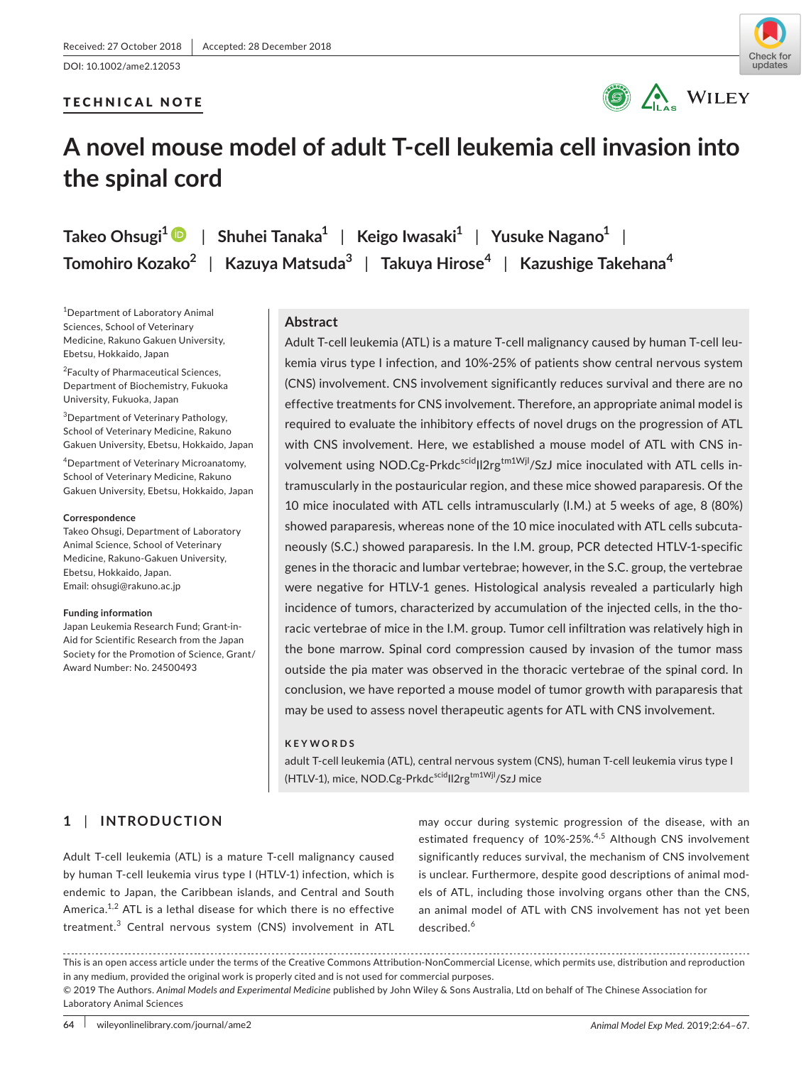DOI: 10.1002/ame2.12053

## TECHNICAL NOTE





# **A novel mouse model of adult T-cell leukemia cell invasion into the spinal cord**

**Takeo Ohsugi<sup>1</sup>** | **Shuhei Tanaka<sup>1</sup>** | **Keigo Iwasaki<sup>1</sup>** | **Yusuke Nagano<sup>1</sup>** | **Tomohiro Kozako<sup>2</sup>** | **Kazuya Matsuda<sup>3</sup>** | **Takuya Hirose<sup>4</sup>** | **Kazushige Takehana<sup>4</sup>**

1 Department of Laboratory Animal Sciences, School of Veterinary Medicine, Rakuno Gakuen University, Ebetsu, Hokkaido, Japan

<sup>2</sup> Faculty of Pharmaceutical Sciences, Department of Biochemistry, Fukuoka University, Fukuoka, Japan

<sup>3</sup>Department of Veterinary Pathology, School of Veterinary Medicine, Rakuno Gakuen University, Ebetsu, Hokkaido, Japan

4 Department of Veterinary Microanatomy, School of Veterinary Medicine, Rakuno Gakuen University, Ebetsu, Hokkaido, Japan

#### **Correspondence**

Takeo Ohsugi, Department of Laboratory Animal Science, School of Veterinary Medicine, Rakuno-Gakuen University, Ebetsu, Hokkaido, Japan. Email: [ohsugi@rakuno.ac.jp](mailto:ohsugi@rakuno.ac.jp)

#### **Funding information**

Japan Leukemia Research Fund; Grant-in-Aid for Scientific Research from the Japan Society for the Promotion of Science, Grant/ Award Number: No. 24500493

# **Abstract**

Adult T-cell leukemia (ATL) is a mature T-cell malignancy caused by human T-cell leukemia virus type I infection, and 10%-25% of patients show central nervous system (CNS) involvement. CNS involvement significantly reduces survival and there are no effective treatments for CNS involvement. Therefore, an appropriate animal model is required to evaluate the inhibitory effects of novel drugs on the progression of ATL with CNS involvement. Here, we established a mouse model of ATL with CNS involvement using NOD.Cg-Prkdc<sup>scid</sup>II2rg<sup>tm1Wjl</sup>/SzJ mice inoculated with ATL cells intramuscularly in the postauricular region, and these mice showed paraparesis. Of the 10 mice inoculated with ATL cells intramuscularly (I.M.) at 5 weeks of age, 8 (80%) showed paraparesis, whereas none of the 10 mice inoculated with ATL cells subcutaneously (S.C.) showed paraparesis. In the I.M. group, PCR detected HTLV-1-specific genes in the thoracic and lumbar vertebrae; however, in the S.C. group, the vertebrae were negative for HTLV-1 genes. Histological analysis revealed a particularly high incidence of tumors, characterized by accumulation of the injected cells, in the thoracic vertebrae of mice in the I.M. group. Tumor cell infiltration was relatively high in the bone marrow. Spinal cord compression caused by invasion of the tumor mass outside the pia mater was observed in the thoracic vertebrae of the spinal cord. In conclusion, we have reported a mouse model of tumor growth with paraparesis that may be used to assess novel therapeutic agents for ATL with CNS involvement.

#### **KEYWORDS**

adult T-cell leukemia (ATL), central nervous system (CNS), human T-cell leukemia virus type I (HTLV-1), mice, NOD.Cg-Prkdc<sup>scid</sup>Il2rg<sup>tm1Wjl</sup>/SzJ mice

# **1** | **INTRODUCTION**

Adult T-cell leukemia (ATL) is a mature T-cell malignancy caused by human T-cell leukemia virus type I (HTLV-1) infection, which is endemic to Japan, the Caribbean islands, and Central and South America. $^{1,2}$  ATL is a lethal disease for which there is no effective treatment.<sup>3</sup> Central nervous system (CNS) involvement in ATL may occur during systemic progression of the disease, with an estimated frequency of 10%-25%.<sup>4,5</sup> Although CNS involvement significantly reduces survival, the mechanism of CNS involvement is unclear. Furthermore, despite good descriptions of animal models of ATL, including those involving organs other than the CNS, an animal model of ATL with CNS involvement has not yet been described.<sup>6</sup>

This is an open access article under the terms of the Creative Commons Attribution-NonCommercial License, which permits use, distribution and reproduction in any medium, provided the original work is properly cited and is not used for commercial purposes.

© 2019 The Authors. *Animal Models and Experimental Medicine* published by John Wiley & Sons Australia, Ltd on behalf of The Chinese Association for Laboratory Animal Sciences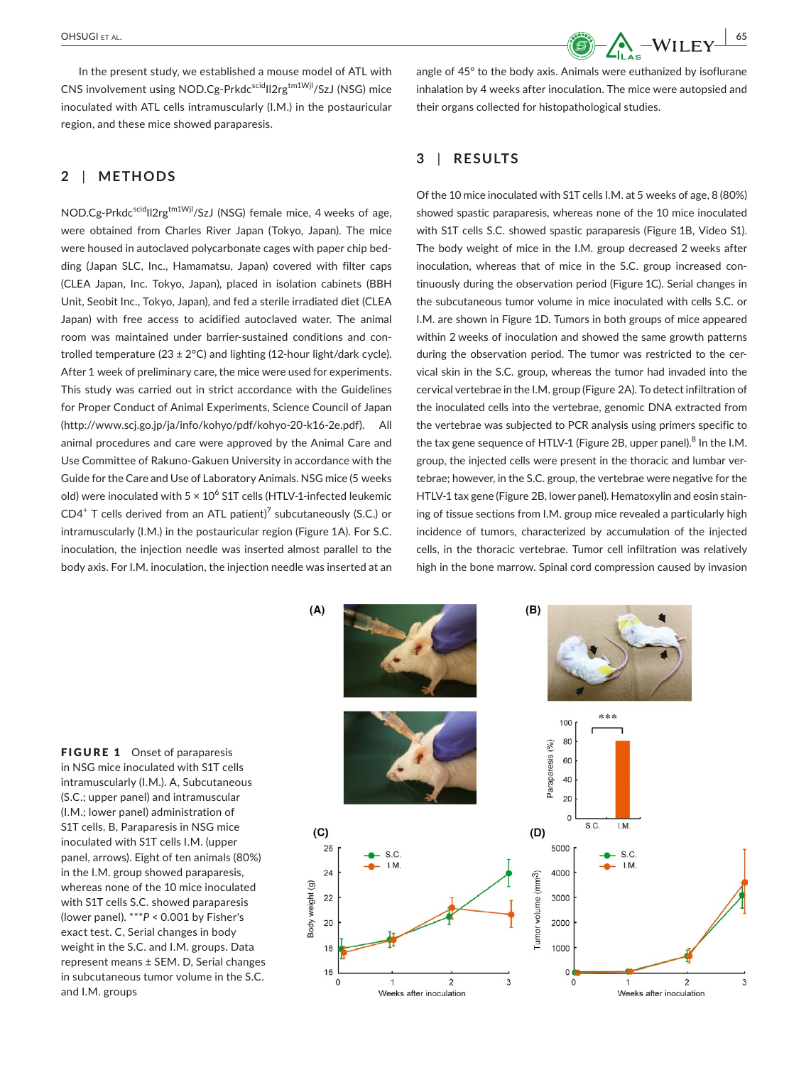In the present study, we established a mouse model of ATL with CNS involvement using NOD.Cg-Prkdc<sup>scid</sup>II2rg<sup>tm1Wjl</sup>/SzJ (NSG) mice inoculated with ATL cells intramuscularly (I.M.) in the postauricular region, and these mice showed paraparesis.

# **2** | **METHODS**

NOD.Cg-Prkdcscid|I2rg<sup>tm1Wjl</sup>/SzJ (NSG) female mice, 4 weeks of age, were obtained from Charles River Japan (Tokyo, Japan). The mice were housed in autoclaved polycarbonate cages with paper chip bedding (Japan SLC, Inc., Hamamatsu, Japan) covered with filter caps (CLEA Japan, Inc. Tokyo, Japan), placed in isolation cabinets (BBH Unit, Seobit Inc., Tokyo, Japan), and fed a sterile irradiated diet (CLEA Japan) with free access to acidified autoclaved water. The animal room was maintained under barrier-sustained conditions and controlled temperature (23  $\pm$  2°C) and lighting (12-hour light/dark cycle). After 1 week of preliminary care, the mice were used for experiments. This study was carried out in strict accordance with the Guidelines for Proper Conduct of Animal Experiments, Science Council of Japan ([http://www.scj.go.jp/ja/info/kohyo/pdf/kohyo-20-k16-2e.pdf\)](http://www.scj.go.jp/ja/info/kohyo/pdf/kohyo-20-k16-2e.pdf). All animal procedures and care were approved by the Animal Care and Use Committee of Rakuno-Gakuen University in accordance with the Guide for the Care and Use of Laboratory Animals. NSG mice (5 weeks old) were inoculated with 5  $\times$  10 $^6$  S1T cells (HTLV-1-infected leukemic  $CD4^+$  T cells derived from an ATL patient)<sup>7</sup> subcutaneously (S.C.) or intramuscularly (I.M.) in the postauricular region (Figure 1A). For S.C. inoculation, the injection needle was inserted almost parallel to the body axis. For I.M. inoculation, the injection needle was inserted at an

angle of 45° to the body axis. Animals were euthanized by isoflurane inhalation by 4 weeks after inoculation. The mice were autopsied and their organs collected for histopathological studies.

# **3** | **RESULTS**

Of the 10 mice inoculated with S1T cells I.M. at 5 weeks of age, 8 (80%) showed spastic paraparesis, whereas none of the 10 mice inoculated with S1T cells S.C. showed spastic paraparesis (Figure 1B, Video S1). The body weight of mice in the I.M. group decreased 2 weeks after inoculation, whereas that of mice in the S.C. group increased continuously during the observation period (Figure 1C). Serial changes in the subcutaneous tumor volume in mice inoculated with cells S.C. or I.M. are shown in Figure 1D. Tumors in both groups of mice appeared within 2 weeks of inoculation and showed the same growth patterns during the observation period. The tumor was restricted to the cervical skin in the S.C. group, whereas the tumor had invaded into the cervical vertebrae in the I.M. group (Figure 2A). To detect infiltration of the inoculated cells into the vertebrae, genomic DNA extracted from the vertebrae was subjected to PCR analysis using primers specific to the tax gene sequence of HTLV-1 (Figure 2B, upper panel).<sup>8</sup> In the I.M. group, the injected cells were present in the thoracic and lumbar vertebrae; however, in the S.C. group, the vertebrae were negative for the HTLV-1 tax gene (Figure 2B, lower panel). Hematoxylin and eosin staining of tissue sections from I.M. group mice revealed a particularly high incidence of tumors, characterized by accumulation of the injected cells, in the thoracic vertebrae. Tumor cell infiltration was relatively high in the bone marrow. Spinal cord compression caused by invasion

FIGURE 1 Onset of paraparesis in NSG mice inoculated with S1T cells intramuscularly (I.M.). A, Subcutaneous (S.C.; upper panel) and intramuscular (I.M.; lower panel) administration of S1T cells. B, Paraparesis in NSG mice inoculated with S1T cells I.M. (upper panel, arrows). Eight of ten animals (80%) in the I.M. group showed paraparesis, whereas none of the 10 mice inoculated with S1T cells S.C. showed paraparesis (lower panel). \*\*\**P* < 0.001 by Fisher's exact test. C, Serial changes in body weight in the S.C. and I.M. groups. Data represent means ± SEM. D, Serial changes in subcutaneous tumor volume in the S.C. and I.M. groups

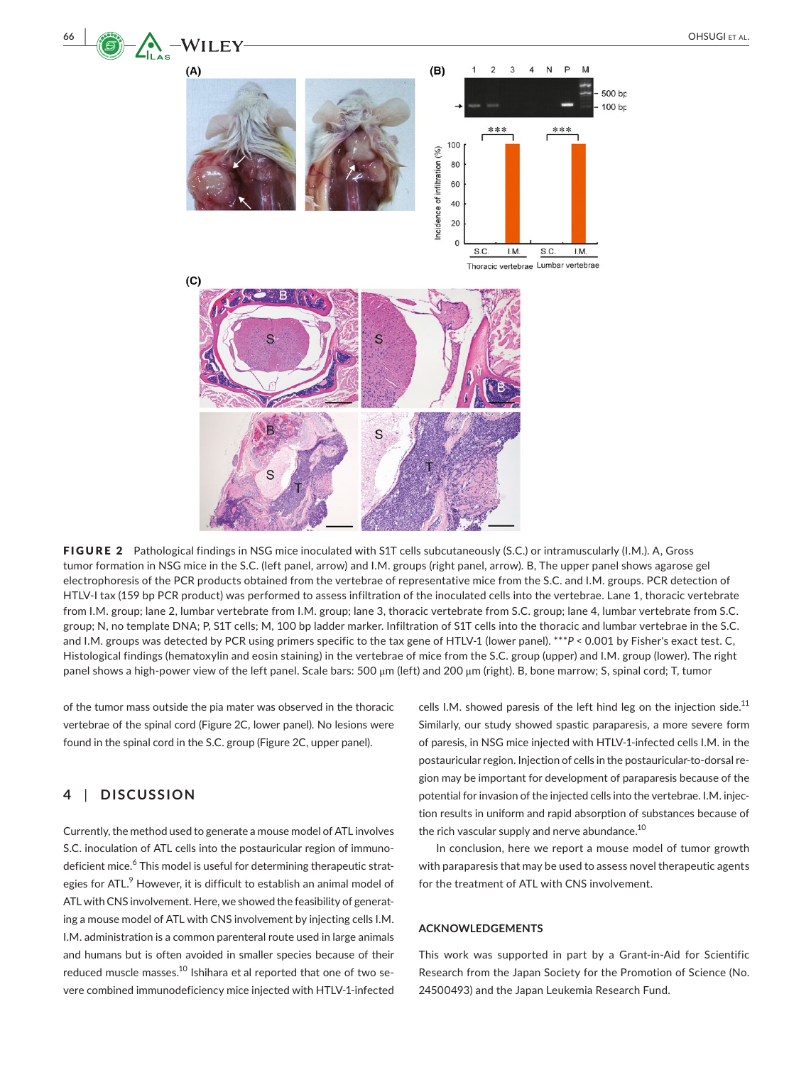

FIGURE 2 Pathological findings in NSG mice inoculated with S1T cells subcutaneously (S.C.) or intramuscularly (I.M.). A, Gross tumor formation in NSG mice in the S.C. (left panel, arrow) and I.M. groups (right panel, arrow). B, The upper panel shows agarose gel electrophoresis of the PCR products obtained from the vertebrae of representative mice from the S.C. and I.M. groups. PCR detection of HTLV-I tax (159 bp PCR product) was performed to assess infiltration of the inoculated cells into the vertebrae. Lane 1, thoracic vertebrate from I.M. group; lane 2, lumbar vertebrate from I.M. group; lane 3, thoracic vertebrate from S.C. group; lane 4, lumbar vertebrate from S.C. group; N, no template DNA; P, S1T cells; M, 100 bp ladder marker. Infiltration of S1T cells into the thoracic and lumbar vertebrae in the S.C. and I.M. groups was detected by PCR using primers specific to the tax gene of HTLV-1 (lower panel). \*\*\**P* < 0.001 by Fisher's exact test. C, Histological findings (hematoxylin and eosin staining) in the vertebrae of mice from the S.C. group (upper) and I.M. group (lower). The right panel shows a high-power view of the left panel. Scale bars: 500 μm (left) and 200 μm (right). B, bone marrow; S, spinal cord; T, tumor

of the tumor mass outside the pia mater was observed in the thoracic vertebrae of the spinal cord (Figure 2C, lower panel). No lesions were found in the spinal cord in the S.C. group (Figure 2C, upper panel).

# **4** | **DISCUSSION**

Currently, the method used to generate a mouse model of ATL involves S.C. inoculation of ATL cells into the postauricular region of immunodeficient mice.<sup>6</sup> This model is useful for determining therapeutic strategies for ATL. $^9$  However, it is difficult to establish an animal model of ATL with CNS involvement. Here, we showed the feasibility of generating a mouse model of ATL with CNS involvement by injecting cells I.M. I.M. administration is a common parenteral route used in large animals and humans but is often avoided in smaller species because of their reduced muscle masses.<sup>10</sup> Ishihara et al reported that one of two severe combined immunodeficiency mice injected with HTLV-1-infected

cells I.M. showed paresis of the left hind leg on the injection side. $^{11}$ Similarly, our study showed spastic paraparesis, a more severe form of paresis, in NSG mice injected with HTLV-1-infected cells I.M. in the postauricular region. Injection of cells in the postauricular-to-dorsal region may be important for development of paraparesis because of the potential for invasion of the injected cells into the vertebrae. I.M. injection results in uniform and rapid absorption of substances because of the rich vascular supply and nerve abundance.<sup>10</sup>

In conclusion, here we report a mouse model of tumor growth with paraparesis that may be used to assess novel therapeutic agents for the treatment of ATL with CNS involvement.

#### **ACKNOWLEDGEMENTS**

This work was supported in part by a Grant-in-Aid for Scientific Research from the Japan Society for the Promotion of Science (No. 24500493) and the Japan Leukemia Research Fund.